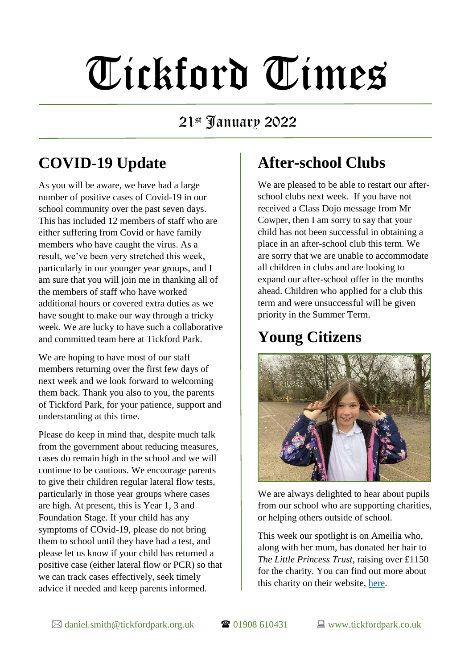# Tickford Times

#### 21st January 2022

# **COVID-19 Update**

As you will be aware, we have had a large number of positive cases of Covid-19 in our school community over the past seven days. This has included 12 members of staff who are either suffering from Covid or have family members who have caught the virus. As a result, we've been very stretched this week, particularly in our younger year groups, and I am sure that you will join me in thanking all of the members of staff who have worked additional hours or covered extra duties as we have sought to make our way through a tricky week. We are lucky to have such a collaborative and committed team here at Tickford Park.

We are hoping to have most of our staff members returning over the first few days of next week and we look forward to welcoming them back. Thank you also to you, the parents of Tickford Park, for your patience, support and understanding at this time.

Please do keep in mind that, despite much talk from the government about reducing measures, cases do remain high in the school and we will continue to be cautious. We encourage parents to give their children regular lateral flow tests, particularly in those year groups where cases are high. At present, this is Year 1, 3 and Foundation Stage. If your child has any symptoms of COvid-19, please do not bring them to school until they have had a test, and please let us know if your child has returned a positive case (either lateral flow or PCR) so that we can track cases effectively, seek timely advice if needed and keep parents informed.

#### **After-school Clubs**

We are pleased to be able to restart our afterschool clubs next week. If you have not received a Class Dojo message from Mr Cowper, then I am sorry to say that your child has not been successful in obtaining a place in an after-school club this term. We are sorry that we are unable to accommodate all children in clubs and are looking to expand our after-school offer in the months ahead. Children who applied for a club this term and were unsuccessful will be given priority in the Summer Term.

### **Young Citizens**



We are always delighted to hear about pupils from our school who are supporting charities, or helping others outside of school.

This week our spotlight is on Ameilia who, along with her mum, has donated her hair to *The Little Princess Trust*, raising over £1150 for the charity. You can find out more about this charity on their website, [here.](https://www.littleprincesses.org.uk/)